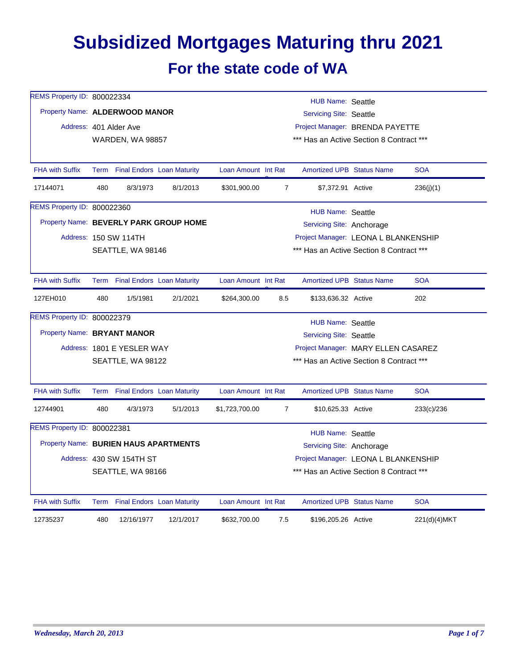## **Subsidized Mortgages Maturing thru 2021 For the state code of WA**

| REMS Property ID: 800022334           |     |                                      |                                        |                                          |                | <b>HUB Name: Seattle</b>                 |  |              |  |  |  |
|---------------------------------------|-----|--------------------------------------|----------------------------------------|------------------------------------------|----------------|------------------------------------------|--|--------------|--|--|--|
| Property Name: ALDERWOOD MANOR        |     |                                      |                                        | <b>Servicing Site: Seattle</b>           |                |                                          |  |              |  |  |  |
|                                       |     | Address: 401 Alder Ave               |                                        | Project Manager: BRENDA PAYETTE          |                |                                          |  |              |  |  |  |
|                                       |     | <b>WARDEN, WA 98857</b>              |                                        |                                          |                | *** Has an Active Section 8 Contract *** |  |              |  |  |  |
|                                       |     |                                      |                                        |                                          |                |                                          |  |              |  |  |  |
| <b>FHA with Suffix</b>                |     |                                      | Term Final Endors Loan Maturity        | Loan Amount Int Rat                      |                | <b>Amortized UPB Status Name</b>         |  | <b>SOA</b>   |  |  |  |
| 17144071                              | 480 | 8/3/1973                             | 8/1/2013                               | \$301,900.00                             | $\overline{7}$ | \$7,372.91 Active                        |  | 236(j)(1)    |  |  |  |
| REMS Property ID: 800022360           |     |                                      |                                        |                                          |                | <b>HUB Name: Seattle</b>                 |  |              |  |  |  |
|                                       |     |                                      | Property Name: BEVERLY PARK GROUP HOME |                                          |                | Servicing Site: Anchorage                |  |              |  |  |  |
|                                       |     | Address: 150 SW 114TH                |                                        |                                          |                | Project Manager: LEONA L BLANKENSHIP     |  |              |  |  |  |
|                                       |     | SEATTLE, WA 98146                    |                                        |                                          |                | *** Has an Active Section 8 Contract *** |  |              |  |  |  |
|                                       |     |                                      |                                        |                                          |                |                                          |  |              |  |  |  |
| <b>FHA with Suffix</b>                |     |                                      | Term Final Endors Loan Maturity        | Loan Amount Int Rat                      |                | <b>Amortized UPB Status Name</b>         |  | <b>SOA</b>   |  |  |  |
| 127EH010                              | 480 | 1/5/1981                             | 2/1/2021                               | \$264,300.00                             | 8.5            | \$133,636.32 Active                      |  | 202          |  |  |  |
| REMS Property ID: 800022379           |     |                                      |                                        |                                          |                | <b>HUB Name: Seattle</b>                 |  |              |  |  |  |
| Property Name: BRYANT MANOR           |     |                                      |                                        |                                          |                | <b>Servicing Site: Seattle</b>           |  |              |  |  |  |
|                                       |     | Address: 1801 E YESLER WAY           |                                        |                                          |                | Project Manager: MARY ELLEN CASAREZ      |  |              |  |  |  |
|                                       |     | SEATTLE, WA 98122                    |                                        | *** Has an Active Section 8 Contract *** |                |                                          |  |              |  |  |  |
|                                       |     |                                      |                                        |                                          |                |                                          |  |              |  |  |  |
| <b>FHA with Suffix</b>                |     |                                      | Term Final Endors Loan Maturity        | Loan Amount Int Rat                      |                | <b>Amortized UPB Status Name</b>         |  | <b>SOA</b>   |  |  |  |
| 12744901                              | 480 | 4/3/1973                             | 5/1/2013                               | \$1,723,700.00                           | $\overline{7}$ | \$10,625.33 Active                       |  | 233(c)/236   |  |  |  |
| REMS Property ID: 800022381           |     |                                      |                                        |                                          |                | HUB Name: Seattle                        |  |              |  |  |  |
| Property Name: BURIEN HAUS APARTMENTS |     |                                      |                                        |                                          |                | Servicing Site: Anchorage                |  |              |  |  |  |
| Address: 430 SW 154TH ST              |     | Project Manager: LEONA L BLANKENSHIP |                                        |                                          |                |                                          |  |              |  |  |  |
|                                       |     | SEATTLE, WA 98166                    |                                        |                                          |                | *** Has an Active Section 8 Contract *** |  |              |  |  |  |
|                                       |     |                                      |                                        |                                          |                |                                          |  |              |  |  |  |
| <b>FHA with Suffix</b>                |     |                                      | Term Final Endors Loan Maturity        | Loan Amount Int Rat                      |                | <b>Amortized UPB Status Name</b>         |  | <b>SOA</b>   |  |  |  |
| 12735237                              | 480 | 12/16/1977                           | 12/1/2017                              | \$632,700.00                             | 7.5            | \$196,205.26 Active                      |  | 221(d)(4)MKT |  |  |  |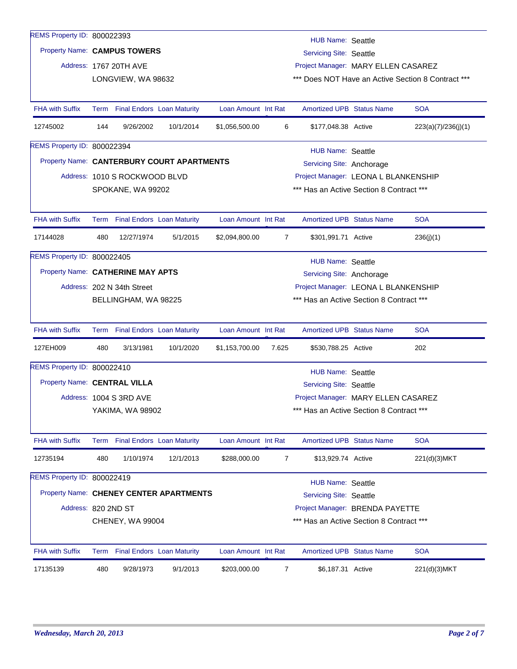| REMS Property ID: 800022393       |                                                                                                                        |                                                                |                                            |                     |                | HUB Name: Seattle                        |  |                                                    |  |  |  |  |
|-----------------------------------|------------------------------------------------------------------------------------------------------------------------|----------------------------------------------------------------|--------------------------------------------|---------------------|----------------|------------------------------------------|--|----------------------------------------------------|--|--|--|--|
|                                   |                                                                                                                        | Property Name: CAMPUS TOWERS<br><b>Servicing Site: Seattle</b> |                                            |                     |                |                                          |  |                                                    |  |  |  |  |
|                                   |                                                                                                                        | Address: 1767 20TH AVE                                         |                                            |                     |                | Project Manager: MARY ELLEN CASAREZ      |  |                                                    |  |  |  |  |
|                                   |                                                                                                                        | LONGVIEW, WA 98632                                             |                                            |                     |                |                                          |  | *** Does NOT Have an Active Section 8 Contract *** |  |  |  |  |
|                                   |                                                                                                                        |                                                                |                                            |                     |                |                                          |  |                                                    |  |  |  |  |
| <b>FHA with Suffix</b>            |                                                                                                                        | Term Final Endors Loan Maturity                                |                                            | Loan Amount Int Rat |                | <b>Amortized UPB Status Name</b>         |  | <b>SOA</b>                                         |  |  |  |  |
| 12745002                          | 144                                                                                                                    | 9/26/2002                                                      | 10/1/2014                                  | \$1,056,500.00      | 6              | \$177,048.38 Active                      |  | 223(a)(7)/236(i)(1)                                |  |  |  |  |
| REMS Property ID: 800022394       |                                                                                                                        |                                                                |                                            |                     |                | <b>HUB Name: Seattle</b>                 |  |                                                    |  |  |  |  |
|                                   |                                                                                                                        |                                                                | Property Name: CANTERBURY COURT APARTMENTS |                     |                | Servicing Site: Anchorage                |  |                                                    |  |  |  |  |
|                                   |                                                                                                                        | Address: 1010 S ROCKWOOD BLVD                                  |                                            |                     |                | Project Manager: LEONA L BLANKENSHIP     |  |                                                    |  |  |  |  |
|                                   |                                                                                                                        | SPOKANE, WA 99202                                              |                                            |                     |                | *** Has an Active Section 8 Contract *** |  |                                                    |  |  |  |  |
|                                   |                                                                                                                        |                                                                |                                            |                     |                |                                          |  |                                                    |  |  |  |  |
| <b>FHA with Suffix</b>            |                                                                                                                        | Term Final Endors Loan Maturity                                |                                            | Loan Amount Int Rat |                | <b>Amortized UPB Status Name</b>         |  | <b>SOA</b>                                         |  |  |  |  |
| 17144028                          | 480                                                                                                                    | 12/27/1974                                                     | 5/1/2015                                   | \$2,094,800.00      | $\overline{7}$ | \$301,991.71 Active                      |  | 236(j)(1)                                          |  |  |  |  |
| REMS Property ID: 800022405       |                                                                                                                        |                                                                |                                            |                     |                | <b>HUB Name: Seattle</b>                 |  |                                                    |  |  |  |  |
| Property Name: CATHERINE MAY APTS |                                                                                                                        |                                                                |                                            |                     |                | Servicing Site: Anchorage                |  |                                                    |  |  |  |  |
|                                   |                                                                                                                        | Address: 202 N 34th Street                                     |                                            |                     |                | Project Manager: LEONA L BLANKENSHIP     |  |                                                    |  |  |  |  |
|                                   |                                                                                                                        | BELLINGHAM, WA 98225                                           |                                            |                     |                | *** Has an Active Section 8 Contract *** |  |                                                    |  |  |  |  |
|                                   |                                                                                                                        |                                                                |                                            |                     |                |                                          |  |                                                    |  |  |  |  |
| <b>FHA with Suffix</b>            |                                                                                                                        | Term Final Endors Loan Maturity                                |                                            | Loan Amount Int Rat |                | <b>Amortized UPB Status Name</b>         |  | <b>SOA</b>                                         |  |  |  |  |
| 127EH009                          | 480                                                                                                                    | 3/13/1981                                                      | 10/1/2020                                  | \$1,153,700.00      | 7.625          | \$530,788.25 Active                      |  | 202                                                |  |  |  |  |
| REMS Property ID: 800022410       |                                                                                                                        |                                                                |                                            |                     |                | <b>HUB Name: Seattle</b>                 |  |                                                    |  |  |  |  |
| Property Name: CENTRAL VILLA      |                                                                                                                        |                                                                |                                            |                     |                | <b>Servicing Site: Seattle</b>           |  |                                                    |  |  |  |  |
|                                   |                                                                                                                        | Address: 1004 S 3RD AVE                                        |                                            |                     |                | Project Manager: MARY ELLEN CASAREZ      |  |                                                    |  |  |  |  |
|                                   |                                                                                                                        | YAKIMA, WA 98902                                               |                                            |                     |                | *** Has an Active Section 8 Contract *** |  |                                                    |  |  |  |  |
|                                   |                                                                                                                        |                                                                |                                            |                     |                |                                          |  |                                                    |  |  |  |  |
| <b>FHA with Suffix</b>            |                                                                                                                        |                                                                | Term Final Endors Loan Maturity            | Loan Amount Int Rat |                | Amortized UPB Status Name                |  | <b>SOA</b>                                         |  |  |  |  |
| 12735194                          | 480                                                                                                                    | 1/10/1974                                                      | 12/1/2013                                  | \$288,000.00        | 7              | \$13,929.74 Active                       |  | 221(d)(3)MKT                                       |  |  |  |  |
| REMS Property ID: 800022419       |                                                                                                                        |                                                                |                                            |                     |                | <b>HUB Name: Seattle</b>                 |  |                                                    |  |  |  |  |
|                                   |                                                                                                                        |                                                                | Property Name: CHENEY CENTER APARTMENTS    |                     |                | Servicing Site: Seattle                  |  |                                                    |  |  |  |  |
|                                   |                                                                                                                        |                                                                |                                            |                     |                |                                          |  |                                                    |  |  |  |  |
|                                   | Address: 820 2ND ST<br>Project Manager: BRENDA PAYETTE<br>*** Has an Active Section 8 Contract ***<br>CHENEY, WA 99004 |                                                                |                                            |                     |                |                                          |  |                                                    |  |  |  |  |
|                                   |                                                                                                                        |                                                                |                                            |                     |                |                                          |  |                                                    |  |  |  |  |
| <b>FHA with Suffix</b>            |                                                                                                                        | Term Final Endors Loan Maturity                                |                                            | Loan Amount Int Rat |                | <b>Amortized UPB Status Name</b>         |  | <b>SOA</b>                                         |  |  |  |  |
| 17135139                          | 480                                                                                                                    | 9/28/1973                                                      | 9/1/2013                                   | \$203,000.00        | 7              | \$6,187.31 Active                        |  | 221(d)(3)MKT                                       |  |  |  |  |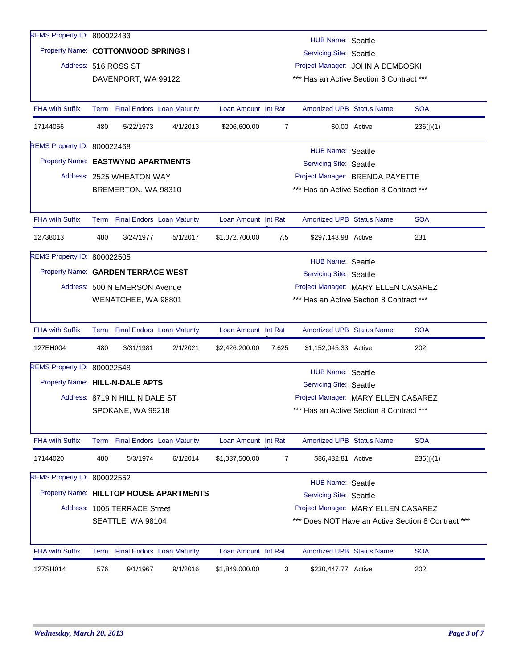| REMS Property ID: 800022433         |      |                                                                                            |                                         |                     |                |                                          |               |                                                    |  |  |  |
|-------------------------------------|------|--------------------------------------------------------------------------------------------|-----------------------------------------|---------------------|----------------|------------------------------------------|---------------|----------------------------------------------------|--|--|--|
| Property Name: COTTONWOOD SPRINGS I |      |                                                                                            |                                         |                     |                | <b>HUB Name: Seattle</b>                 |               |                                                    |  |  |  |
|                                     |      | <b>Servicing Site: Seattle</b><br>Address: 516 ROSS ST<br>Project Manager: JOHN A DEMBOSKI |                                         |                     |                |                                          |               |                                                    |  |  |  |
|                                     |      |                                                                                            |                                         |                     |                |                                          |               |                                                    |  |  |  |
|                                     |      | DAVENPORT, WA 99122                                                                        |                                         |                     |                | *** Has an Active Section 8 Contract *** |               |                                                    |  |  |  |
| <b>FHA with Suffix</b>              |      | Term Final Endors Loan Maturity                                                            |                                         | Loan Amount Int Rat |                | <b>Amortized UPB Status Name</b>         |               | <b>SOA</b>                                         |  |  |  |
| 17144056                            | 480  | 5/22/1973                                                                                  | 4/1/2013                                | \$206,600.00        | $\overline{7}$ |                                          | \$0.00 Active | 236(j)(1)                                          |  |  |  |
| REMS Property ID: 800022468         |      |                                                                                            |                                         |                     |                | <b>HUB Name: Seattle</b>                 |               |                                                    |  |  |  |
| Property Name: EASTWYND APARTMENTS  |      |                                                                                            |                                         |                     |                | <b>Servicing Site: Seattle</b>           |               |                                                    |  |  |  |
|                                     |      | Address: 2525 WHEATON WAY                                                                  |                                         |                     |                | Project Manager: BRENDA PAYETTE          |               |                                                    |  |  |  |
|                                     |      | BREMERTON, WA 98310                                                                        |                                         |                     |                | *** Has an Active Section 8 Contract *** |               |                                                    |  |  |  |
|                                     |      |                                                                                            |                                         |                     |                |                                          |               |                                                    |  |  |  |
| <b>FHA with Suffix</b>              |      | Term Final Endors Loan Maturity                                                            |                                         | Loan Amount Int Rat |                | <b>Amortized UPB Status Name</b>         |               | <b>SOA</b>                                         |  |  |  |
| 12738013                            | 480  | 3/24/1977                                                                                  | 5/1/2017                                | \$1,072,700.00      | 7.5            | \$297,143.98 Active                      |               | 231                                                |  |  |  |
| REMS Property ID: 800022505         |      |                                                                                            |                                         |                     |                | <b>HUB Name: Seattle</b>                 |               |                                                    |  |  |  |
| Property Name: GARDEN TERRACE WEST  |      |                                                                                            |                                         |                     |                | <b>Servicing Site: Seattle</b>           |               |                                                    |  |  |  |
|                                     |      | Address: 500 N EMERSON Avenue                                                              |                                         |                     |                | Project Manager: MARY ELLEN CASAREZ      |               |                                                    |  |  |  |
|                                     |      | WENATCHEE, WA 98801                                                                        |                                         |                     |                | *** Has an Active Section 8 Contract *** |               |                                                    |  |  |  |
|                                     |      |                                                                                            |                                         |                     |                |                                          |               |                                                    |  |  |  |
| <b>FHA with Suffix</b>              |      | Term Final Endors Loan Maturity                                                            |                                         | Loan Amount Int Rat |                | <b>Amortized UPB Status Name</b>         |               | <b>SOA</b>                                         |  |  |  |
| 127EH004                            | 480  | 3/31/1981                                                                                  | 2/1/2021                                | \$2,426,200.00      | 7.625          | \$1,152,045.33 Active                    |               | 202                                                |  |  |  |
| REMS Property ID: 800022548         |      |                                                                                            |                                         |                     |                | <b>HUB Name: Seattle</b>                 |               |                                                    |  |  |  |
| Property Name: HILL-N-DALE APTS     |      |                                                                                            |                                         |                     |                | <b>Servicing Site: Seattle</b>           |               |                                                    |  |  |  |
|                                     |      | Address: 8719 N HILL N DALE ST                                                             |                                         |                     |                | Project Manager: MARY ELLEN CASAREZ      |               |                                                    |  |  |  |
|                                     |      | SPOKANE, WA 99218                                                                          |                                         |                     |                | *** Has an Active Section 8 Contract *** |               |                                                    |  |  |  |
|                                     |      |                                                                                            |                                         |                     |                |                                          |               |                                                    |  |  |  |
| <b>FHA with Suffix</b>              | Term |                                                                                            | <b>Final Endors Loan Maturity</b>       | Loan Amount Int Rat |                | <b>Amortized UPB Status Name</b>         |               | <b>SOA</b>                                         |  |  |  |
| 17144020                            | 480  | 5/3/1974                                                                                   | 6/1/2014                                | \$1,037,500.00      | $\overline{7}$ | \$86,432.81 Active                       |               | 236(j)(1)                                          |  |  |  |
| REMS Property ID: 800022552         |      |                                                                                            |                                         |                     |                | <b>HUB Name: Seattle</b>                 |               |                                                    |  |  |  |
|                                     |      |                                                                                            | Property Name: HILLTOP HOUSE APARTMENTS |                     |                | <b>Servicing Site: Seattle</b>           |               |                                                    |  |  |  |
|                                     |      | Address: 1005 TERRACE Street                                                               |                                         |                     |                | Project Manager: MARY ELLEN CASAREZ      |               |                                                    |  |  |  |
|                                     |      | SEATTLE, WA 98104                                                                          |                                         |                     |                |                                          |               | *** Does NOT Have an Active Section 8 Contract *** |  |  |  |
|                                     |      |                                                                                            |                                         |                     |                |                                          |               |                                                    |  |  |  |
| <b>FHA with Suffix</b>              |      | Term Final Endors Loan Maturity                                                            |                                         | Loan Amount Int Rat |                | <b>Amortized UPB Status Name</b>         |               | <b>SOA</b>                                         |  |  |  |
| 127SH014                            | 576  | 9/1/1967                                                                                   | 9/1/2016                                | \$1,849,000.00      | 3              | \$230,447.77 Active                      |               | 202                                                |  |  |  |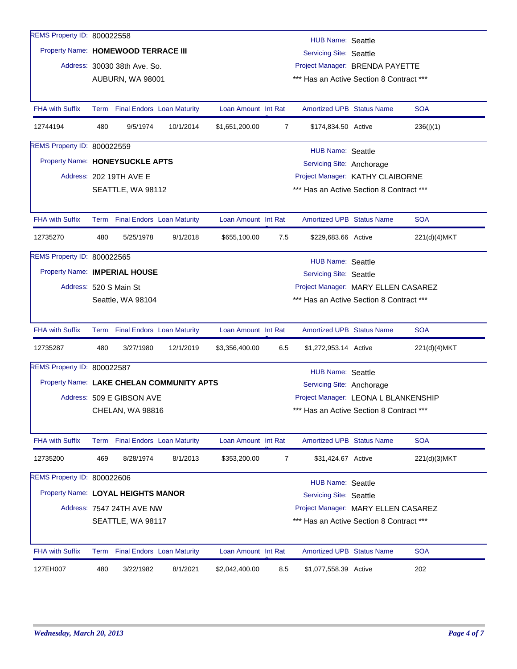| REMS Property ID: 800022558         |                                                                                                      |                              |                                           |                     |                                          | HUB Name: Seattle                                                                |  |              |  |  |
|-------------------------------------|------------------------------------------------------------------------------------------------------|------------------------------|-------------------------------------------|---------------------|------------------------------------------|----------------------------------------------------------------------------------|--|--------------|--|--|
| Property Name: HOMEWOOD TERRACE III |                                                                                                      |                              |                                           |                     |                                          | <b>Servicing Site: Seattle</b>                                                   |  |              |  |  |
|                                     |                                                                                                      | Address: 30030 38th Ave. So. |                                           |                     |                                          | Project Manager: BRENDA PAYETTE                                                  |  |              |  |  |
|                                     |                                                                                                      | AUBURN, WA 98001             |                                           |                     | *** Has an Active Section 8 Contract *** |                                                                                  |  |              |  |  |
|                                     |                                                                                                      |                              |                                           |                     |                                          |                                                                                  |  |              |  |  |
| <b>FHA with Suffix</b>              |                                                                                                      |                              | Term Final Endors Loan Maturity           | Loan Amount Int Rat |                                          | <b>Amortized UPB Status Name</b>                                                 |  | <b>SOA</b>   |  |  |
| 12744194                            | 480                                                                                                  | 9/5/1974                     | 10/1/2014                                 | \$1,651,200.00      | $\overline{7}$                           | \$174,834.50 Active                                                              |  | 236(j)(1)    |  |  |
| <b>REMS Property ID: 800022559</b>  |                                                                                                      |                              |                                           |                     |                                          | <b>HUB Name: Seattle</b>                                                         |  |              |  |  |
| Property Name: HONEYSUCKLE APTS     |                                                                                                      |                              |                                           |                     |                                          | Servicing Site: Anchorage                                                        |  |              |  |  |
|                                     |                                                                                                      | Address: 202 19TH AVE E      |                                           |                     |                                          | Project Manager: KATHY CLAIBORNE                                                 |  |              |  |  |
|                                     |                                                                                                      | SEATTLE, WA 98112            |                                           |                     |                                          | *** Has an Active Section 8 Contract ***                                         |  |              |  |  |
|                                     |                                                                                                      |                              |                                           |                     |                                          |                                                                                  |  |              |  |  |
| <b>FHA with Suffix</b>              |                                                                                                      |                              | Term Final Endors Loan Maturity           | Loan Amount Int Rat |                                          | <b>Amortized UPB Status Name</b>                                                 |  | <b>SOA</b>   |  |  |
| 12735270                            | 480                                                                                                  | 5/25/1978                    | 9/1/2018                                  | \$655,100.00        | 7.5                                      | \$229,683.66 Active                                                              |  | 221(d)(4)MKT |  |  |
| REMS Property ID: 800022565         |                                                                                                      |                              |                                           |                     |                                          | <b>HUB Name: Seattle</b>                                                         |  |              |  |  |
| Property Name: IMPERIAL HOUSE       |                                                                                                      |                              |                                           |                     |                                          | Servicing Site: Seattle                                                          |  |              |  |  |
|                                     |                                                                                                      | Address: 520 S Main St       |                                           |                     |                                          | Project Manager: MARY ELLEN CASAREZ                                              |  |              |  |  |
|                                     |                                                                                                      |                              |                                           |                     |                                          | *** Has an Active Section 8 Contract ***                                         |  |              |  |  |
|                                     |                                                                                                      | Seattle, WA 98104            |                                           |                     |                                          |                                                                                  |  |              |  |  |
| <b>FHA with Suffix</b>              |                                                                                                      |                              | Term Final Endors Loan Maturity           | Loan Amount Int Rat |                                          | <b>Amortized UPB Status Name</b>                                                 |  | <b>SOA</b>   |  |  |
| 12735287                            | 480                                                                                                  | 3/27/1980                    | 12/1/2019                                 | \$3,356,400.00      | 6.5                                      | \$1,272,953.14 Active                                                            |  | 221(d)(4)MKT |  |  |
| REMS Property ID: 800022587         |                                                                                                      |                              |                                           |                     |                                          |                                                                                  |  |              |  |  |
|                                     |                                                                                                      |                              | Property Name: LAKE CHELAN COMMUNITY APTS |                     |                                          | <b>HUB Name: Seattle</b><br>Servicing Site: Anchorage                            |  |              |  |  |
|                                     |                                                                                                      | Address: 509 E GIBSON AVE    |                                           |                     |                                          |                                                                                  |  |              |  |  |
|                                     |                                                                                                      |                              |                                           |                     |                                          | Project Manager: LEONA L BLANKENSHIP<br>*** Has an Active Section 8 Contract *** |  |              |  |  |
|                                     |                                                                                                      | CHELAN, WA 98816             |                                           |                     |                                          |                                                                                  |  |              |  |  |
| <b>FHA with Suffix</b>              |                                                                                                      |                              | Term Final Endors Loan Maturity           | Loan Amount Int Rat |                                          | <b>Amortized UPB Status Name</b>                                                 |  | <b>SOA</b>   |  |  |
| 12735200                            | 469                                                                                                  | 8/28/1974                    | 8/1/2013                                  | \$353,200.00        | 7                                        | \$31,424.67 Active                                                               |  | 221(d)(3)MKT |  |  |
| REMS Property ID: 800022606         |                                                                                                      |                              |                                           |                     |                                          | <b>HUB Name: Seattle</b>                                                         |  |              |  |  |
| Property Name: LOYAL HEIGHTS MANOR  |                                                                                                      |                              |                                           |                     |                                          | <b>Servicing Site: Seattle</b>                                                   |  |              |  |  |
|                                     |                                                                                                      | Address: 7547 24TH AVE NW    |                                           |                     |                                          |                                                                                  |  |              |  |  |
|                                     | Project Manager: MARY ELLEN CASAREZ<br>*** Has an Active Section 8 Contract ***<br>SEATTLE, WA 98117 |                              |                                           |                     |                                          |                                                                                  |  |              |  |  |
|                                     |                                                                                                      |                              |                                           |                     |                                          |                                                                                  |  |              |  |  |
| <b>FHA with Suffix</b>              |                                                                                                      |                              | Term Final Endors Loan Maturity           | Loan Amount Int Rat |                                          | <b>Amortized UPB Status Name</b>                                                 |  | <b>SOA</b>   |  |  |
| 127EH007                            | 480                                                                                                  | 3/22/1982                    | 8/1/2021                                  | \$2,042,400.00      | 8.5                                      | \$1,077,558.39 Active                                                            |  | 202          |  |  |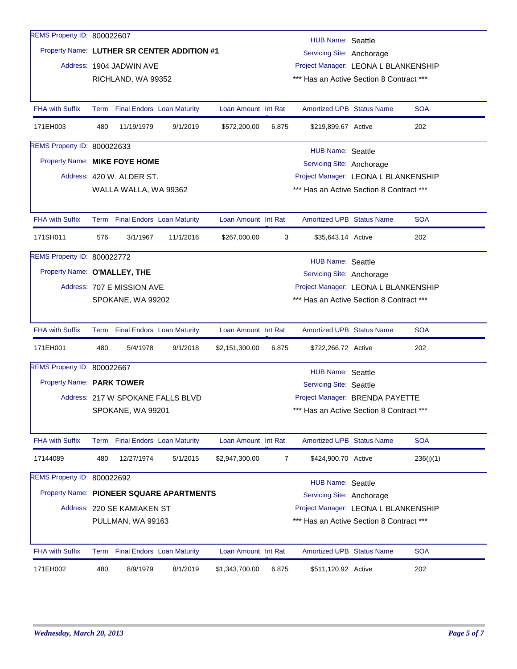| REMS Property ID: 800022607        |                                                                                                  |                            |                                             |                     |                                          | <b>HUB Name: Seattle</b>                 |  |            |  |  |
|------------------------------------|--------------------------------------------------------------------------------------------------|----------------------------|---------------------------------------------|---------------------|------------------------------------------|------------------------------------------|--|------------|--|--|
|                                    |                                                                                                  |                            | Property Name: LUTHER SR CENTER ADDITION #1 |                     |                                          | Servicing Site: Anchorage                |  |            |  |  |
|                                    |                                                                                                  | Address: 1904 JADWIN AVE   |                                             |                     |                                          | Project Manager: LEONA L BLANKENSHIP     |  |            |  |  |
|                                    |                                                                                                  | RICHLAND, WA 99352         |                                             |                     |                                          | *** Has an Active Section 8 Contract *** |  |            |  |  |
|                                    |                                                                                                  |                            |                                             |                     |                                          |                                          |  |            |  |  |
| <b>FHA with Suffix</b>             |                                                                                                  |                            | Term Final Endors Loan Maturity             | Loan Amount Int Rat |                                          | <b>Amortized UPB Status Name</b>         |  | <b>SOA</b> |  |  |
| 171EH003                           | 480                                                                                              | 11/19/1979                 | 9/1/2019                                    | \$572,200.00        | 6.875                                    | \$219,899.67 Active                      |  | 202        |  |  |
| <b>REMS Property ID: 800022633</b> |                                                                                                  |                            |                                             |                     |                                          | HUB Name: Seattle                        |  |            |  |  |
| Property Name: MIKE FOYE HOME      |                                                                                                  |                            |                                             |                     |                                          | Servicing Site: Anchorage                |  |            |  |  |
|                                    |                                                                                                  | Address: 420 W. ALDER ST.  |                                             |                     |                                          | Project Manager: LEONA L BLANKENSHIP     |  |            |  |  |
|                                    |                                                                                                  | WALLA WALLA, WA 99362      |                                             |                     |                                          | *** Has an Active Section 8 Contract *** |  |            |  |  |
|                                    |                                                                                                  |                            |                                             |                     |                                          |                                          |  |            |  |  |
| <b>FHA with Suffix</b>             |                                                                                                  |                            | Term Final Endors Loan Maturity             | Loan Amount Int Rat |                                          | <b>Amortized UPB Status Name</b>         |  | <b>SOA</b> |  |  |
| 171SH011                           | 576                                                                                              | 3/1/1967                   | 11/1/2016                                   | \$267,000.00        | 3                                        | \$35,643.14 Active                       |  | 202        |  |  |
| REMS Property ID: 800022772        |                                                                                                  |                            |                                             |                     |                                          | <b>HUB Name: Seattle</b>                 |  |            |  |  |
| Property Name: O'MALLEY, THE       |                                                                                                  |                            |                                             |                     |                                          | Servicing Site: Anchorage                |  |            |  |  |
|                                    |                                                                                                  | Address: 707 E MISSION AVE |                                             |                     |                                          | Project Manager: LEONA L BLANKENSHIP     |  |            |  |  |
|                                    |                                                                                                  | SPOKANE, WA 99202          |                                             |                     | *** Has an Active Section 8 Contract *** |                                          |  |            |  |  |
|                                    |                                                                                                  |                            |                                             |                     |                                          |                                          |  |            |  |  |
| FHA with Suffix                    |                                                                                                  |                            | Term Final Endors Loan Maturity             | Loan Amount Int Rat |                                          | Amortized UPB Status Name                |  | <b>SOA</b> |  |  |
| 171EH001                           | 480                                                                                              | 5/4/1978                   | 9/1/2018                                    | \$2,151,300.00      | 6.875                                    | \$722,266.72 Active                      |  | 202        |  |  |
| REMS Property ID: 800022667        |                                                                                                  |                            |                                             |                     |                                          | <b>HUB Name: Seattle</b>                 |  |            |  |  |
| Property Name: PARK TOWER          |                                                                                                  |                            |                                             |                     |                                          | Servicing Site: Seattle                  |  |            |  |  |
|                                    |                                                                                                  |                            | Address: 217 W SPOKANE FALLS BLVD           |                     |                                          | Project Manager: BRENDA PAYETTE          |  |            |  |  |
|                                    |                                                                                                  | SPOKANE, WA 99201          |                                             |                     |                                          | *** Has an Active Section 8 Contract *** |  |            |  |  |
|                                    |                                                                                                  |                            |                                             |                     |                                          |                                          |  |            |  |  |
| <b>FHA with Suffix</b>             |                                                                                                  |                            | Term Final Endors Loan Maturity             | Loan Amount Int Rat |                                          | Amortized UPB Status Name                |  | <b>SOA</b> |  |  |
| 17144089                           | 480                                                                                              | 12/27/1974                 | 5/1/2015                                    | \$2,947,300.00      | $\overline{7}$                           | \$424,900.70 Active                      |  | 236(j)(1)  |  |  |
| REMS Property ID: 800022692        |                                                                                                  |                            |                                             |                     |                                          | <b>HUB Name: Seattle</b>                 |  |            |  |  |
|                                    |                                                                                                  |                            | Property Name: PIONEER SQUARE APARTMENTS    |                     |                                          |                                          |  |            |  |  |
|                                    | Servicing Site: Anchorage<br>Address: 220 SE KAMIAKEN ST<br>Project Manager: LEONA L BLANKENSHIP |                            |                                             |                     |                                          |                                          |  |            |  |  |
|                                    |                                                                                                  | PULLMAN, WA 99163          |                                             |                     |                                          | *** Has an Active Section 8 Contract *** |  |            |  |  |
|                                    |                                                                                                  |                            |                                             |                     |                                          |                                          |  |            |  |  |
| <b>FHA with Suffix</b>             |                                                                                                  |                            | Term Final Endors Loan Maturity             | Loan Amount Int Rat |                                          | <b>Amortized UPB Status Name</b>         |  | <b>SOA</b> |  |  |
| 171EH002                           | 480                                                                                              | 8/9/1979                   | 8/1/2019                                    | \$1,343,700.00      | 6.875                                    | \$511,120.92 Active                      |  | 202        |  |  |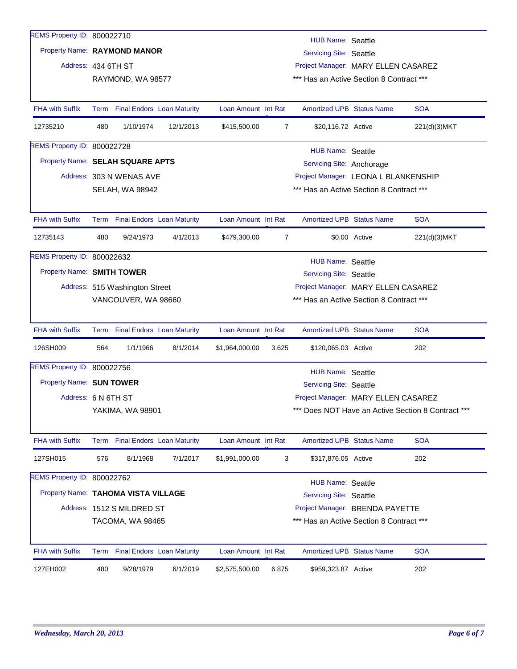| REMS Property ID: 800022710         |      |                                |                                   |                     |                | <b>HUB Name: Seattle</b>                 |               |                                                    |
|-------------------------------------|------|--------------------------------|-----------------------------------|---------------------|----------------|------------------------------------------|---------------|----------------------------------------------------|
| Property Name: RAYMOND MANOR        |      |                                |                                   |                     |                | Servicing Site: Seattle                  |               |                                                    |
| Address: 434 6TH ST                 |      |                                |                                   |                     |                | Project Manager: MARY ELLEN CASAREZ      |               |                                                    |
|                                     |      | RAYMOND, WA 98577              |                                   |                     |                | *** Has an Active Section 8 Contract *** |               |                                                    |
|                                     |      |                                |                                   |                     |                |                                          |               |                                                    |
| <b>FHA with Suffix</b>              |      |                                | Term Final Endors Loan Maturity   | Loan Amount Int Rat |                | <b>Amortized UPB Status Name</b>         |               | <b>SOA</b>                                         |
| 12735210                            | 480  | 1/10/1974                      | 12/1/2013                         | \$415,500.00        | 7              | \$20,116.72 Active                       |               | 221(d)(3)MKT                                       |
| REMS Property ID: 800022728         |      |                                |                                   |                     |                | <b>HUB Name: Seattle</b>                 |               |                                                    |
| Property Name: SELAH SQUARE APTS    |      |                                |                                   |                     |                | Servicing Site: Anchorage                |               |                                                    |
|                                     |      | Address: 303 N WENAS AVE       |                                   |                     |                | Project Manager: LEONA L BLANKENSHIP     |               |                                                    |
|                                     |      | SELAH, WA 98942                |                                   |                     |                | *** Has an Active Section 8 Contract *** |               |                                                    |
|                                     |      |                                |                                   |                     |                |                                          |               |                                                    |
| <b>FHA with Suffix</b>              |      |                                | Term Final Endors Loan Maturity   | Loan Amount Int Rat |                | <b>Amortized UPB Status Name</b>         |               | <b>SOA</b>                                         |
| 12735143                            | 480  | 9/24/1973                      | 4/1/2013                          | \$479,300.00        | $\overline{7}$ |                                          | \$0.00 Active | 221(d)(3)MKT                                       |
| REMS Property ID: 800022632         |      |                                |                                   |                     |                | <b>HUB Name: Seattle</b>                 |               |                                                    |
| Property Name: SMITH TOWER          |      |                                |                                   |                     |                | Servicing Site: Seattle                  |               |                                                    |
|                                     |      | Address: 515 Washington Street |                                   |                     |                | Project Manager: MARY ELLEN CASAREZ      |               |                                                    |
|                                     |      | VANCOUVER, WA 98660            |                                   |                     |                | *** Has an Active Section 8 Contract *** |               |                                                    |
|                                     |      |                                |                                   |                     |                |                                          |               |                                                    |
| <b>FHA with Suffix</b>              |      |                                | Term Final Endors Loan Maturity   | Loan Amount Int Rat |                | <b>Amortized UPB Status Name</b>         |               | <b>SOA</b>                                         |
| 126SH009                            | 564  | 1/1/1966                       | 8/1/2014                          | \$1,964,000.00      | 3.625          | \$120,065.03 Active                      |               | 202                                                |
| REMS Property ID: 800022756         |      |                                |                                   |                     |                | <b>HUB Name: Seattle</b>                 |               |                                                    |
| Property Name: SUN TOWER            |      |                                |                                   |                     |                | <b>Servicing Site: Seattle</b>           |               |                                                    |
| Address: 6 N 6TH ST                 |      |                                |                                   |                     |                | Project Manager: MARY ELLEN CASAREZ      |               |                                                    |
|                                     |      | YAKIMA, WA 98901               |                                   |                     |                |                                          |               | *** Does NOT Have an Active Section 8 Contract *** |
|                                     |      |                                |                                   |                     |                |                                          |               |                                                    |
| <b>FHA with Suffix</b>              | Term |                                | <b>Final Endors Loan Maturity</b> | Loan Amount Int Rat |                | <b>Amortized UPB Status Name</b>         |               | <b>SOA</b>                                         |
| 127SH015                            | 576  | 8/1/1968                       | 7/1/2017                          | \$1,991,000.00      | 3              | \$317,876.05 Active                      |               | 202                                                |
| REMS Property ID: 800022762         |      |                                |                                   |                     |                | <b>HUB Name: Seattle</b>                 |               |                                                    |
| Property Name: TAHOMA VISTA VILLAGE |      |                                |                                   |                     |                | <b>Servicing Site: Seattle</b>           |               |                                                    |
|                                     |      | Address: 1512 S MILDRED ST     |                                   |                     |                | Project Manager: BRENDA PAYETTE          |               |                                                    |
|                                     |      | TACOMA, WA 98465               |                                   |                     |                | *** Has an Active Section 8 Contract *** |               |                                                    |
|                                     |      |                                |                                   |                     |                |                                          |               |                                                    |
| <b>FHA with Suffix</b>              | Term |                                | <b>Final Endors Loan Maturity</b> | Loan Amount Int Rat |                | <b>Amortized UPB Status Name</b>         |               | <b>SOA</b>                                         |
|                                     |      |                                |                                   |                     |                |                                          |               |                                                    |